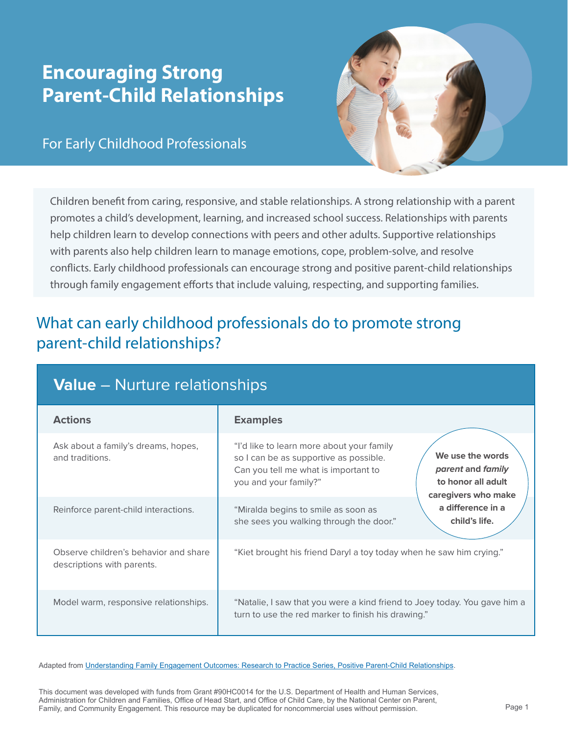# **Encouraging Strong Parent-Child Relationships**

#### For Early Childhood Professionals



Children benefit from caring, responsive, and stable relationships. A strong relationship with a parent promotes a child's development, learning, and increased school success. Relationships with parents help children learn to develop connections with peers and other adults. Supportive relationships with parents also help children learn to manage emotions, cope, problem-solve, and resolve conflicts. Early childhood professionals can encourage strong and positive parent-child relationships through family engagement efforts that include valuing, respecting, and supporting families.

## What can early childhood professionals do to promote strong parent-child relationships?

| <b>Value</b> – Nurture relationships                                |                                                                                                                                                      |                                                                                    |
|---------------------------------------------------------------------|------------------------------------------------------------------------------------------------------------------------------------------------------|------------------------------------------------------------------------------------|
| <b>Actions</b>                                                      | <b>Examples</b>                                                                                                                                      |                                                                                    |
| Ask about a family's dreams, hopes,<br>and traditions.              | "I'd like to learn more about your family<br>so I can be as supportive as possible.<br>Can you tell me what is important to<br>you and your family?" | We use the words<br>parent and family<br>to honor all adult<br>caregivers who make |
| Reinforce parent-child interactions.                                | "Miralda begins to smile as soon as<br>she sees you walking through the door."                                                                       | a difference in a<br>child's life.                                                 |
| Observe children's behavior and share<br>descriptions with parents. | "Kiet brought his friend Daryl a toy today when he saw him crying."                                                                                  |                                                                                    |
| Model warm, responsive relationships.                               | "Natalie, I saw that you were a kind friend to Joey today. You gave him a<br>turn to use the red marker to finish his drawing."                      |                                                                                    |

Adapted from Understanding Family Engagement Outcomes: Research to Practice Series, Positive Parent-Child Relationships.

This document was developed with funds from Grant #90HC0014 for the U.S. Department of Health and Human Services, Administration for Children and Families, Office of Head Start, and Office of Child Care, by the National Center on Parent, Family, and Community Engagement. This resource may be duplicated for noncommercial uses without permission. Page 1